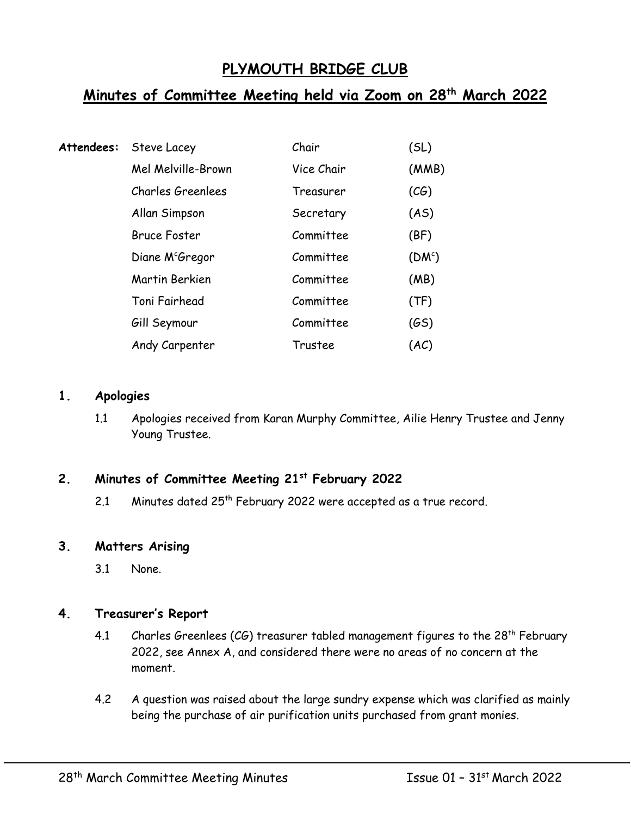# **PLYMOUTH BRIDGE CLUB**

# **Minutes of Committee Meeting held via Zoom on 28th March 2022**

| Attendees: | Steve Lacey                 | Chair      | (SL)               |
|------------|-----------------------------|------------|--------------------|
|            | Mel Melville-Brown          | Vice Chair | (MMB)              |
|            | <b>Charles Greenlees</b>    | Treasurer  | (CG)               |
|            | Allan Simpson               | Secretary  | (AS)               |
|            | <b>Bruce Foster</b>         | Committee  | (BF)               |
|            | Diane M <sup>c</sup> Gregor | Committee  | (DM <sup>c</sup> ) |
|            | Martin Berkien              | Committee  | (MB)               |
|            | Toni Fairhead               | Committee  | (TF)               |
|            | Gill Seymour                | Committee  | (GS)               |
|            | Andy Carpenter              | Trustee    | (AC)               |

#### **1. Apologies**

1.1 Apologies received from Karan Murphy Committee, Ailie Henry Trustee and Jenny Young Trustee.

# **2. Minutes of Committee Meeting 21st February 2022**

2.1 Minutes dated 25<sup>th</sup> February 2022 were accepted as a true record.

## **3. Matters Arising**

3.1 None.

## **4. Treasurer's Report**

- 4.1 Charles Greenlees (CG) treasurer tabled management figures to the 28<sup>th</sup> February 2022, see Annex A, and considered there were no areas of no concern at the moment.
- 4.2 A question was raised about the large sundry expense which was clarified as mainly being the purchase of air purification units purchased from grant monies.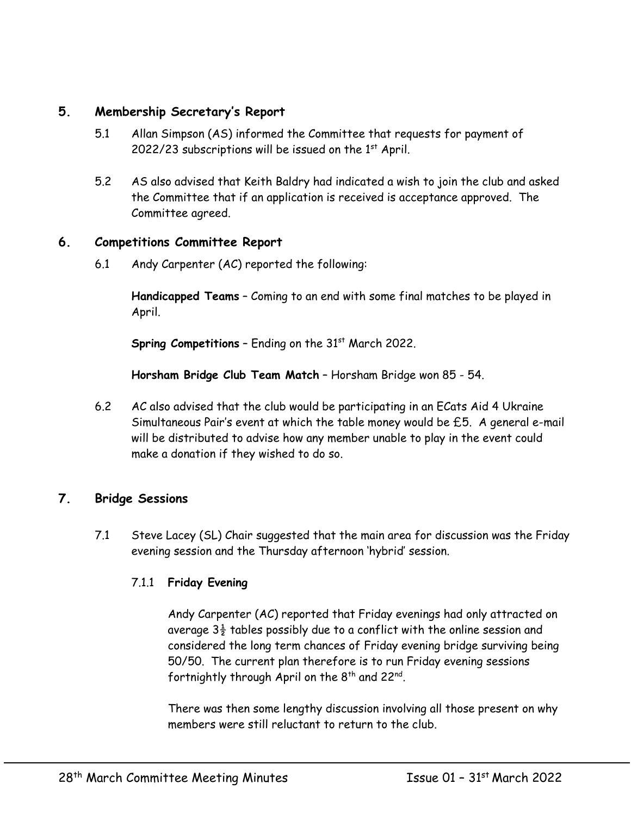## **5. Membership Secretary's Report**

- 5.1 Allan Simpson (AS) informed the Committee that requests for payment of 2022/23 subscriptions will be issued on the  $1<sup>st</sup>$  April.
- 5.2 AS also advised that Keith Baldry had indicated a wish to join the club and asked the Committee that if an application is received is acceptance approved. The Committee agreed.

#### **6. Competitions Committee Report**

6.1 Andy Carpenter (AC) reported the following:

**Handicapped Teams** – Coming to an end with some final matches to be played in April.

**Spring Competitions** - Ending on the 31<sup>st</sup> March 2022.

**Horsham Bridge Club Team Match** – Horsham Bridge won 85 - 54.

6.2 AC also advised that the club would be participating in an ECats Aid 4 Ukraine Simultaneous Pair's event at which the table money would be £5. A general e-mail will be distributed to advise how any member unable to play in the event could make a donation if they wished to do so.

## **7. Bridge Sessions**

7.1 Steve Lacey (SL) Chair suggested that the main area for discussion was the Friday evening session and the Thursday afternoon 'hybrid' session.

## 7.1.1 **Friday Evening**

Andy Carpenter (AC) reported that Friday evenings had only attracted on average  $3\frac{1}{2}$  tables possibly due to a conflict with the online session and considered the long term chances of Friday evening bridge surviving being 50/50. The current plan therefore is to run Friday evening sessions fortnightly through April on the  $8^{\text{th}}$  and 22<sup>nd</sup>.

There was then some lengthy discussion involving all those present on why members were still reluctant to return to the club.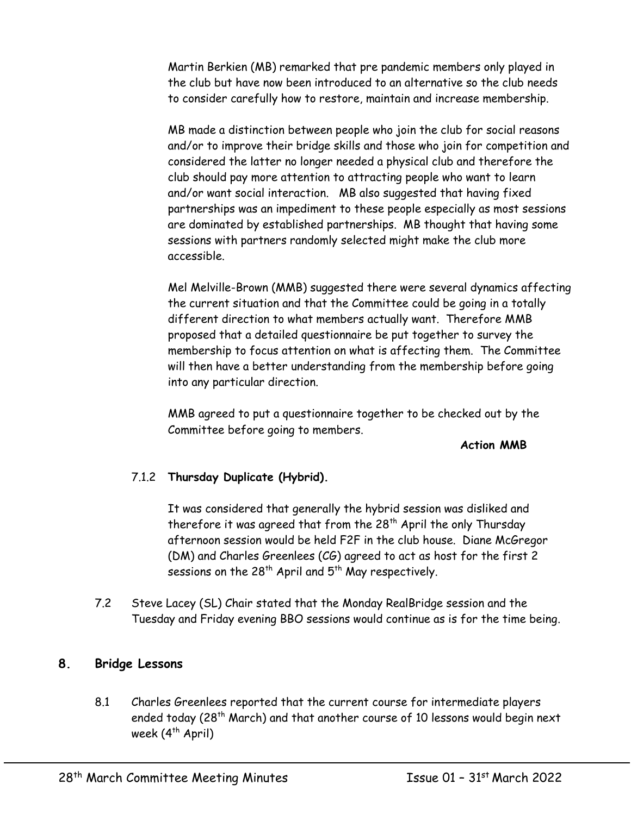Martin Berkien (MB) remarked that pre pandemic members only played in the club but have now been introduced to an alternative so the club needs to consider carefully how to restore, maintain and increase membership.

MB made a distinction between people who join the club for social reasons and/or to improve their bridge skills and those who join for competition and considered the latter no longer needed a physical club and therefore the club should pay more attention to attracting people who want to learn and/or want social interaction. MB also suggested that having fixed partnerships was an impediment to these people especially as most sessions are dominated by established partnerships. MB thought that having some sessions with partners randomly selected might make the club more accessible.

Mel Melville-Brown (MMB) suggested there were several dynamics affecting the current situation and that the Committee could be going in a totally different direction to what members actually want. Therefore MMB proposed that a detailed questionnaire be put together to survey the membership to focus attention on what is affecting them. The Committee will then have a better understanding from the membership before going into any particular direction.

MMB agreed to put a questionnaire together to be checked out by the Committee before going to members.

#### **Action MMB**

## 7.1.2 **Thursday Duplicate (Hybrid).**

It was considered that generally the hybrid session was disliked and therefore it was agreed that from the  $28<sup>th</sup>$  April the only Thursday afternoon session would be held F2F in the club house. Diane McGregor (DM) and Charles Greenlees (CG) agreed to act as host for the first 2 sessions on the 28<sup>th</sup> April and  $5^{th}$  May respectively.

7.2 Steve Lacey (SL) Chair stated that the Monday RealBridge session and the Tuesday and Friday evening BBO sessions would continue as is for the time being.

## **8. Bridge Lessons**

8.1 Charles Greenlees reported that the current course for intermediate players ended today (28<sup>th</sup> March) and that another course of 10 lessons would begin next week  $(4^{th}$  April)